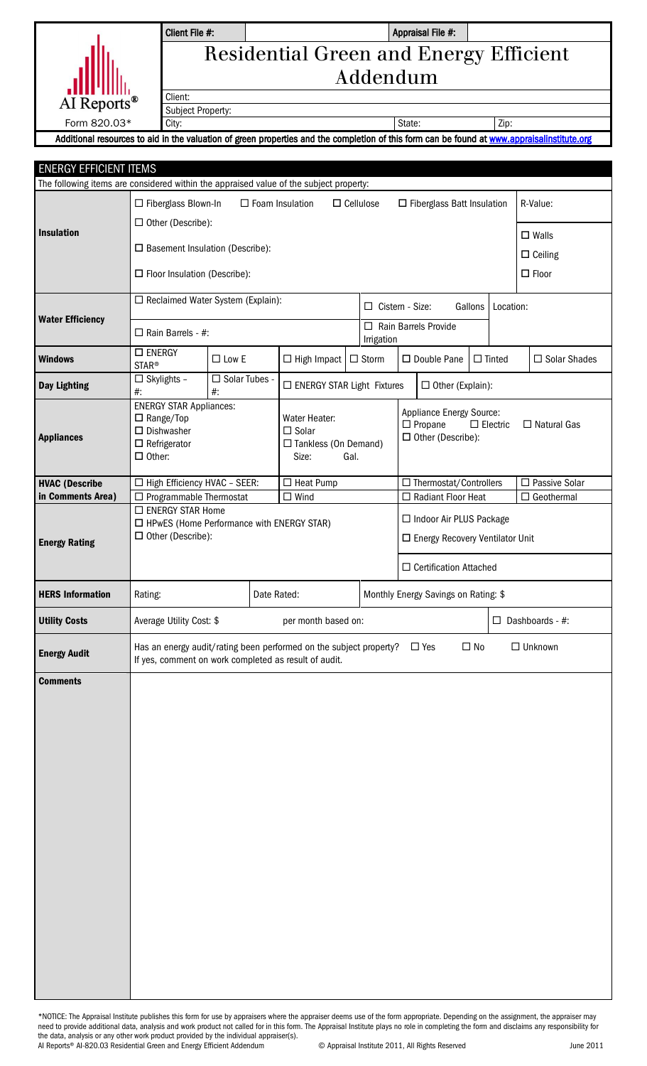|                         | Client File #:                                |                                                                                                                                         | Appraisal File #: |      |  |
|-------------------------|-----------------------------------------------|-----------------------------------------------------------------------------------------------------------------------------------------|-------------------|------|--|
|                         | <b>Residential Green and Energy Efficient</b> |                                                                                                                                         |                   |      |  |
|                         | Addendum                                      |                                                                                                                                         |                   |      |  |
| AI Reports <sup>®</sup> | Client:                                       |                                                                                                                                         |                   |      |  |
|                         | <b>Subject Property:</b>                      |                                                                                                                                         |                   |      |  |
| Form 820.03*            | City:                                         |                                                                                                                                         | State:            | Zip: |  |
|                         |                                               | Additional recourses to aid in the valuation of green properties and the completion of this form can be found at www.appraiselinstitute |                   |      |  |

## Appraisal File #:

green properties and the completion of this form can be found at www.appraisalinstitute.org

| <b>ENERGY EFFICIENT ITEMS</b><br>The following items are considered within the appraised value of the subject property: |                                                                                                                             |                          |  |                                   |                                                                                                                                       |              |                                                                |                                                  |  |                        |  |                                      |
|-------------------------------------------------------------------------------------------------------------------------|-----------------------------------------------------------------------------------------------------------------------------|--------------------------|--|-----------------------------------|---------------------------------------------------------------------------------------------------------------------------------------|--------------|----------------------------------------------------------------|--------------------------------------------------|--|------------------------|--|--------------------------------------|
|                                                                                                                         | $\Box$ Fiberglass Blown-In<br>$\Box$ Other (Describe):                                                                      |                          |  | $\Box$ Foam Insulation            | $\Box$ Cellulose                                                                                                                      |              |                                                                | □ Fiberglass Batt Insulation                     |  |                        |  | R-Value:                             |
| <b>Insulation</b>                                                                                                       | $\square$ Basement Insulation (Describe):                                                                                   |                          |  |                                   |                                                                                                                                       |              |                                                                |                                                  |  |                        |  | $\square$ Walls<br>$\Box$ Ceiling    |
|                                                                                                                         | $\Box$ Floor Insulation (Describe):                                                                                         |                          |  |                                   |                                                                                                                                       |              |                                                                |                                                  |  |                        |  | $\square$ Floor                      |
| <b>Water Efficiency</b>                                                                                                 | □ Reclaimed Water System (Explain):                                                                                         |                          |  |                                   | $\Box$ Cistern - Size:<br>Gallons<br>Location:                                                                                        |              |                                                                |                                                  |  |                        |  |                                      |
|                                                                                                                         | $\Box$ Rain Barrels - #:                                                                                                    |                          |  | Irrigation                        |                                                                                                                                       |              |                                                                | $\Box$ Rain Barrels Provide                      |  |                        |  |                                      |
| <b>Windows</b>                                                                                                          | $\square$ ENERGY<br><b>STAR®</b>                                                                                            | $\square$ Low E          |  | $\Box$ High Impact                |                                                                                                                                       | $\Box$ Storm |                                                                | □ Double Pane                                    |  | $\Box$ Tinted          |  | □ Solar Shades                       |
| <b>Day Lighting</b>                                                                                                     | $\Box$ Skylights -<br>$#$ :                                                                                                 | □ Solar Tubes -<br>$#$ : |  | $\Box$ ENERGY STAR Light Fixtures |                                                                                                                                       |              |                                                                | $\Box$ Other (Explain):                          |  |                        |  |                                      |
| <b>Appliances</b>                                                                                                       | <b>ENERGY STAR Appliances:</b><br>$\Box$ Range/Top<br>$\square$ Dishwasher<br>$\Box$ Refrigerator<br>$\Box$ Other:          |                          |  | $\Box$ Solar<br>Size:             | <b>Appliance Energy Source:</b><br>Water Heater:<br>$\Box$ Propane<br>$\Box$ Other (Describe):<br>$\Box$ Tankless (On Demand)<br>Gal. |              |                                                                | $\Box$ Electric<br>$\Box$ Natural Gas            |  |                        |  |                                      |
| <b>HVAC (Describe</b><br>in Comments Area)                                                                              | □ High Efficiency HVAC - SEER:<br>$\Box$ Programmable Thermostat                                                            |                          |  | $\Box$ Heat Pump<br>$\Box$ Wind   |                                                                                                                                       |              |                                                                | □ Thermostat/Controllers<br>□ Radiant Floor Heat |  |                        |  | □ Passive Solar<br>$\Box$ Geothermal |
| <b>Energy Rating</b>                                                                                                    | □ ENERGY STAR Home<br>$\Box$ HPwES (Home Performance with ENERGY STAR)<br>$\Box$ Other (Describe):                          |                          |  |                                   |                                                                                                                                       |              | □ Indoor Air PLUS Package<br>□ Energy Recovery Ventilator Unit |                                                  |  |                        |  |                                      |
|                                                                                                                         |                                                                                                                             |                          |  |                                   |                                                                                                                                       |              |                                                                | $\Box$ Certification Attached                    |  |                        |  |                                      |
| <b>HERS Information</b>                                                                                                 | Date Rated:<br>Rating:                                                                                                      |                          |  |                                   |                                                                                                                                       |              | Monthly Energy Savings on Rating: \$                           |                                                  |  |                        |  |                                      |
| <b>Utility Costs</b>                                                                                                    | per month based on:<br>Average Utility Cost: \$                                                                             |                          |  |                                   |                                                                                                                                       |              |                                                                |                                                  |  | $\Box$ Dashboards - #: |  |                                      |
| <b>Energy Audit</b>                                                                                                     | Has an energy audit/rating been performed on the subject property?<br>If yes, comment on work completed as result of audit. |                          |  |                                   |                                                                                                                                       | $\Box$ Yes   | $\Box$ No                                                      |                                                  |  | $\Box$ Unknown         |  |                                      |
| <b>Comments</b>                                                                                                         |                                                                                                                             |                          |  |                                   |                                                                                                                                       |              |                                                                |                                                  |  |                        |  |                                      |

\*NOTICE: The Appraisal Institute publishes this form for use by appraisers where the appraiser deems use of the form appropriate. Depending on the assignment, the appraiser may need to provide additional data, analysis and work product not called for in this form. The Appraisal Institute plays no role in completing the form and disclaims any responsibility for the data, analysis or any other work product provided by the individual appraiser(s). AI Reports® AI-820.03 Residential Green and Energy Efficient Addendum © Appraisal Institute 2011, All Rights Reserved June 2011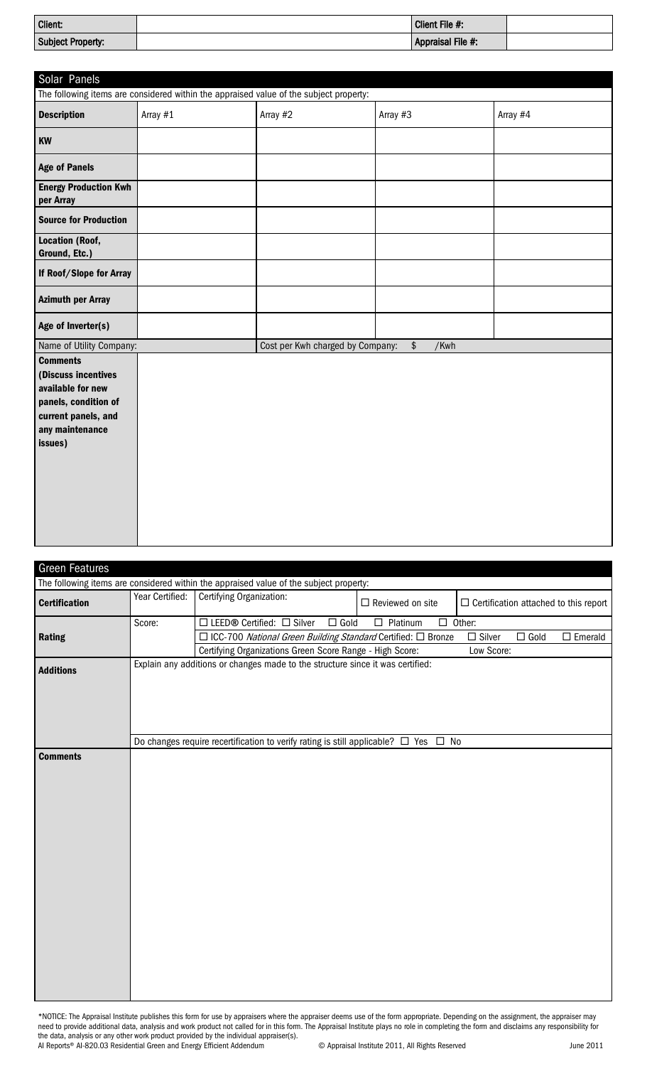| Client:           | Client File #:    |  |
|-------------------|-------------------|--|
| Subject Property: | Appraisal File #: |  |

| Solar Panels                                                                                                                             |                                                                                        |                                  |                          |          |
|------------------------------------------------------------------------------------------------------------------------------------------|----------------------------------------------------------------------------------------|----------------------------------|--------------------------|----------|
|                                                                                                                                          | The following items are considered within the appraised value of the subject property: |                                  |                          |          |
| <b>Description</b>                                                                                                                       | Array #1                                                                               | Array #2                         | Array #3                 | Array #4 |
| KW                                                                                                                                       |                                                                                        |                                  |                          |          |
| <b>Age of Panels</b>                                                                                                                     |                                                                                        |                                  |                          |          |
| <b>Energy Production Kwh</b><br>per Array                                                                                                |                                                                                        |                                  |                          |          |
| <b>Source for Production</b>                                                                                                             |                                                                                        |                                  |                          |          |
| <b>Location (Roof,</b><br>Ground, Etc.)                                                                                                  |                                                                                        |                                  |                          |          |
| If Roof/Slope for Array                                                                                                                  |                                                                                        |                                  |                          |          |
| <b>Azimuth per Array</b>                                                                                                                 |                                                                                        |                                  |                          |          |
| Age of Inverter(s)                                                                                                                       |                                                                                        |                                  |                          |          |
| Name of Utility Company:                                                                                                                 |                                                                                        | Cost per Kwh charged by Company: | $$\mathfrak{s}$$<br>/Kwh |          |
| <b>Comments</b><br>(Discuss incentives<br>available for new<br>panels, condition of<br>current panels, and<br>any maintenance<br>issues) |                                                                                        |                                  |                          |          |

| <b>Green Features</b> |                 |                                                                                               |             |                         |                                                      |
|-----------------------|-----------------|-----------------------------------------------------------------------------------------------|-------------|-------------------------|------------------------------------------------------|
|                       |                 | The following items are considered within the appraised value of the subject property:        |             |                         |                                                      |
| <b>Certification</b>  | Year Certified: | Certifying Organization:                                                                      |             | $\Box$ Reviewed on site | $\Box$ Certification attached to this report         |
|                       | Score:          | □ LEED® Certified: □ Silver                                                                   | $\Box$ Gold | $\Box$ Platinum         | $\square$ Other:                                     |
| Rating                |                 | □ ICC-700 National Green Building Standard Certified: □ Bronze                                |             |                         | $\square$ Silver<br>$\Box$ Gold<br>$\square$ Emerald |
|                       |                 | Certifying Organizations Green Score Range - High Score:                                      |             |                         | Low Score:                                           |
| <b>Additions</b>      |                 | Explain any additions or changes made to the structure since it was certified:                |             |                         |                                                      |
|                       |                 | Do changes require recertification to verify rating is still applicable? $\Box$ Yes $\Box$ No |             |                         |                                                      |
| <b>Comments</b>       |                 |                                                                                               |             |                         |                                                      |

\*NOTICE: The Appraisal Institute publishes this form for use by appraisers where the appraiser deems use of the form appropriate. Depending on the assignment, the appraiser may need to provide additional data, analysis and work product not called for in this form. The Appraisal Institute plays no role in completing the form and disclaims any responsibility for the data, analysis or any other work product provided by the individual appraiser(s). AI Reports® AI-820.03 Residential Green and Energy Efficient Addendum © Appraisal Institute 2011, All Rights Reserved June 2011